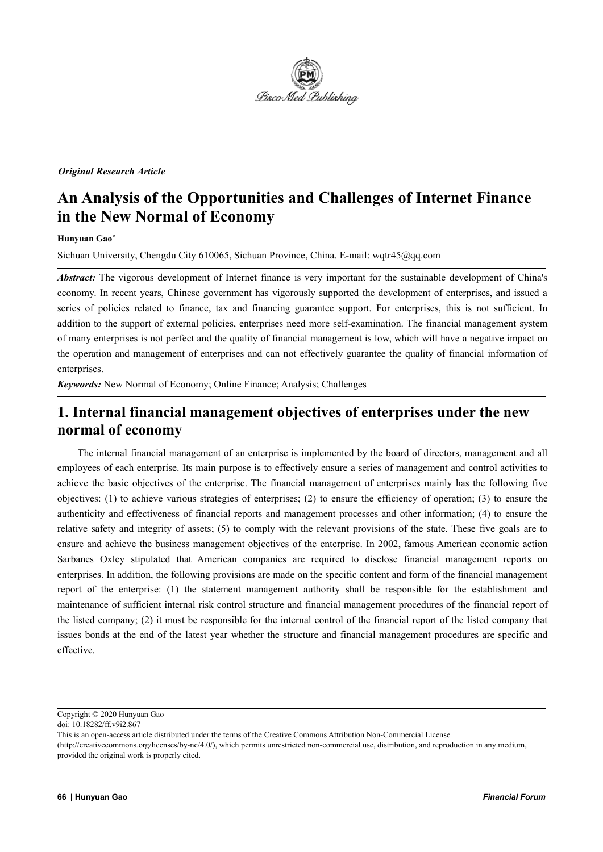

#### *Original Research Article*

# **An Analysis ofthe Opportunities and Challenges of Internet Finance in the New Normal of Economy**

#### **Hunyuan Gao \***

Sichuan University,Chengdu City 610065, Sichuan Province, China. E-mail: wqtr45@qq.com

*Abstract:* The vigorous development of Internet finance is very important for the sustainable development of China's economy. In recent years, Chinese government has vigorously supported the development of enterprises, and issued a series of policies related to finance, tax and financing guarantee support. For enterprises, this is not sufficient. In addition to the support of external policies, enterprises need more self-examination. The financial management system of many enterprises is not perfect and the quality of financial management is low, which will have a negative impact on the operation and management of enterprises and can not effectively guarantee the quality of financial information of enterprises.

*Keywords:* New Normal of Economy; Online Finance; Analysis; Challenges

## **1. Internal financial management objectives ofenterprises under the new normal of economy**

The internal financial management of an enterprise is implemented by the board of directors, management and all employees of each enterprise. Its main purpose is to effectively ensure a series of management and control activities to achieve the basic objectives of the enterprise. The financial management of enterprises mainly has the following five objectives: (1) to achieve various strategies of enterprises; (2) to ensure the efficiency of operation; (3) to ensure the authenticity and effectiveness of financial reports and management processes and other information; (4) to ensure the relative safety and integrity of assets;(5) to comply with the relevant provisions of the state. These five goals are to ensure and achieve the business management objectives of the enterprise. In 2002, famous American economic action Sarbanes Oxley stipulated that American companies are required to disclose financial management reports on enterprises. In addition, the following provisions are made on the specific content and form of the financial management report of the enterprise: (1) the statement management authority shall be responsible for the establishment and maintenance of sufficient internal risk control structure and financial management procedures of the financial report of the listed company;(2) it must be responsible for the internal control of the financial report of the listed company that issues bonds at the end of the latest year whether the structure and financial management procedures are specific and effective.

Copyright © 2020 Hunyuan Gao

doi: 10.18282/ff.v9i2.867

This is an open-access article distributed under the terms of the Creative Commons Attribution Non-Commercial License (http://creativecommons.org/licenses/by-nc/4.0/), which permits unrestricted non-commercial use, distribution, and reproduction in any medium, provided the original work is properly cited.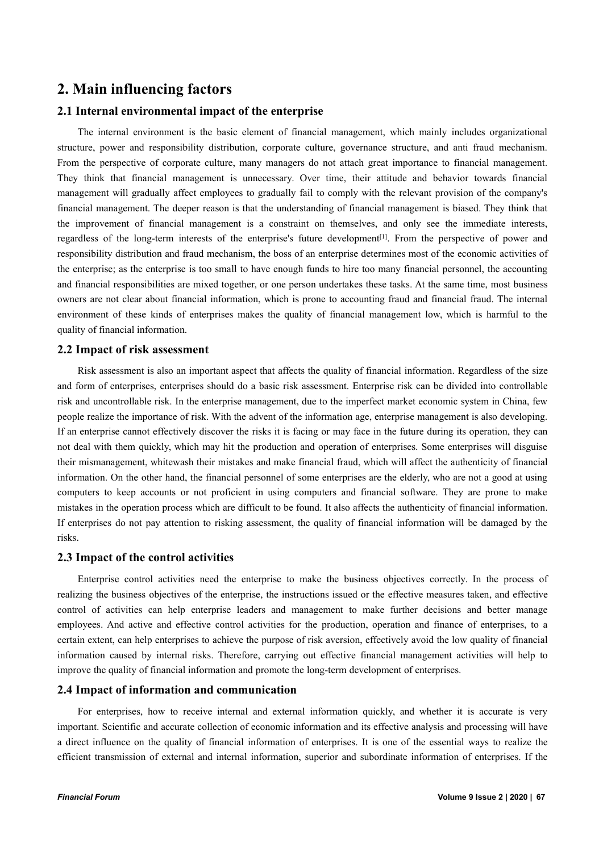### **2. Main influencing factors**

#### **2.1 Internal environmental impact of the enterprise**

The internal environment is the basic element of financial management, which mainly includes organizational structure, power and responsibility distribution, corporate culture, governance structure, and anti fraud mechanism. From the perspective of corporate culture, many managers do not attach great importance to financial management. They think that financial management is unnecessary. Over time, their attitude and behavior towards financial management will gradually affect employees to gradually fail to comply with the relevant provision of the company's financial management. The deeper reason is that the understanding of financial management is biased. They think that the improvement of financial management is a constraint on themselves, and only see the immediate interests, regardless of the long-term interests of the enterprise's future development [1]. From the perspective of power and responsibility distribution and fraud mechanism, the boss of an enterprise determines most of the economic activities of the enterprise; as the enterprise istoo small to have enough funds to hire too many financial personnel, the accounting and financial responsibilities are mixed together, or one person undertakes these tasks. At the same time, most business owners are not clear about financial information, which is prone to accounting fraud and financial fraud. The internal environment of these kinds of enterprises makes the quality of financial management low, which is harmful to the quality of financial information.

#### **2.2 Impact of risk assessment**

Risk assessment is also an important aspect that affects the quality of financial information. Regardless of the size and form of enterprises, enterprises should do a basic risk assessment. Enterprise risk can be divided into controllable risk and uncontrollable risk. In the enterprise management, due to the imperfect market economic system in China, few people realize the importance of risk. With the advent of the information age, enterprise management is also developing. If an enterprise cannot effectively discover the risks it is facing or may face in the future during its operation, they can not deal with them quickly, which may hit the production and operation of enterprises. Some enterprises will disguise their mismanagement, whitewash their mistakes and make financial fraud, which will affect the authenticity of financial information. On the other hand, the financial personnel of some enterprises are the elderly, who are not a good at using computers to keep accounts or not proficient in using computers and financial software. They are prone to make mistakes in the operation process which are difficult to be found. It also affects the authenticity of financial information. If enterprises do not pay attention to risking assessment, the quality of financial information will be damaged by the risks.

#### **2.3 Impact of the control activities**

Enterprise control activities need the enterprise to make the business objectives correctly. In the process of realizing the business objectives of the enterprise, the instructions issued or the effective measures taken, and effective control of activities can help enterprise leaders and management to make further decisions and better manage employees. And active and effective control activities for the production, operation and finance of enterprises, to a certain extent, can help enterprises to achieve the purpose of risk aversion, effectively avoid the low quality of financial information caused by internal risks. Therefore, carrying out effective financial management activities will help to improve the quality of financial information and promote the long-term development of enterprises.

#### **2.4 Impact of information and communication**

For enterprises, how to receive internal and external information quickly, and whether it is accurate is very important. Scientific and accurate collection of economic information and its effective analysis and processing will have a direct influence on the quality of financial information of enterprises. It is one of the essential ways to realize the efficient transmission of external and internal information, superior and subordinate information of enterprises. If the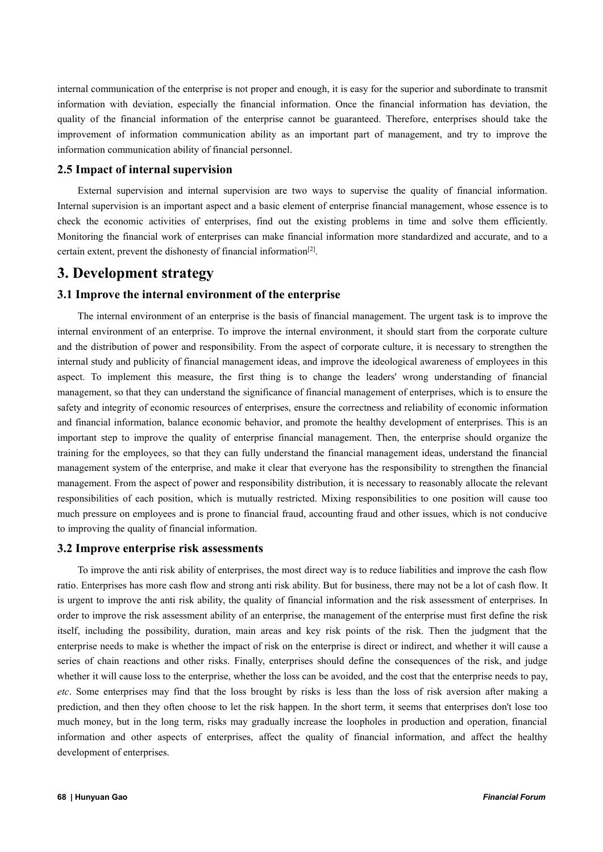internal communication of the enterprise is not proper and enough, it is easy for the superior and subordinate to transmit information with deviation, especially the financial information. Once the financial information has deviation, the quality of the financial information of the enterprise cannot be guaranteed. Therefore, enterprises should take the improvement of information communication ability as an important part of management, and try to improve the information communication ability of financial personnel.

#### **2.5 Impact of internal supervision**

External supervision and internal supervision are two ways to supervise the quality of financial information. Internal supervision is an important aspect and a basic element of enterprise financial management, whose essence is to check the economic activities of enterprises, find out the existing problems in time and solve them efficiently. Monitoring the financial work of enterprises can make financial information more standardized and accurate, and to a certain extent, prevent the dishonesty of financial information [2].

### **3. Development strategy**

### **3.1 Improve the internal environment of the enterprise**

The internal environment of an enterprise is the basis of financial management. The urgent task is to improve the internal environment of an enterprise. To improve the internal environment, it should start from the corporate culture and the distribution of power and responsibility. From the aspect of corporate culture, it is necessary to strengthen the internal study and publicity of financial management ideas, and improve the ideological awareness of employees in this aspect. To implement this measure, the first thing is to change the leaders' wrong understanding of financial management, so that they can understand the significance of financial management of enterprises, which is to ensure the safety and integrity of economic resources of enterprises, ensure the correctness and reliability of economic information and financial information, balance economic behavior, and promote the healthy development of enterprises. This is an important step to improve the quality of enterprise financial management. Then, the enterprise should organize the training for the employees, so that they can fully understand the financial management ideas, understand the financial management system of the enterprise, and make it clear that everyone has the responsibility to strengthen the financial management. From the aspect of power and responsibility distribution, it is necessary to reasonably allocate the relevant responsibilities of each position, which is mutually restricted. Mixing responsibilities to one position will cause too much pressure on employees and is prone to financial fraud, accounting fraud and other issues, which is not conducive to improving the quality of financial information.

#### **3.2 Improve enterprise risk assessments**

To improve the anti risk ability of enterprises, the most direct way is to reduce liabilities and improve the cash flow ratio. Enterprises has more cash flow and strong anti risk ability. But for business, there may not be a lot of cash flow. It is urgent to improve the anti risk ability, the quality of financial information and the risk assessment of enterprises. In order to improve the risk assessment ability of an enterprise, the management of the enterprise must first define the risk itself, including the possibility, duration, main areas and key risk points of the risk. Then the judgment that the enterprise needs to make is whether the impact of risk on the enterprise isdirect or indirect, and whether it will cause a series of chain reactions and other risks. Finally, enterprises should define the consequences of the risk, and judge whether it will cause loss to the enterprise, whether the loss can be avoided, and the cost that the enterprise needs to pay, *etc*. Some enterprises may find that the loss brought by risks is less than the loss of risk aversion after making a prediction, and then they often choose to let the risk happen. In the short term, it seems that enterprises don't lose too much money, but in the long term, risks may gradually increase the loopholes in production and operation, financial information and other aspects of enterprises, affect the quality of financial information, and affect the healthy development of enterprises.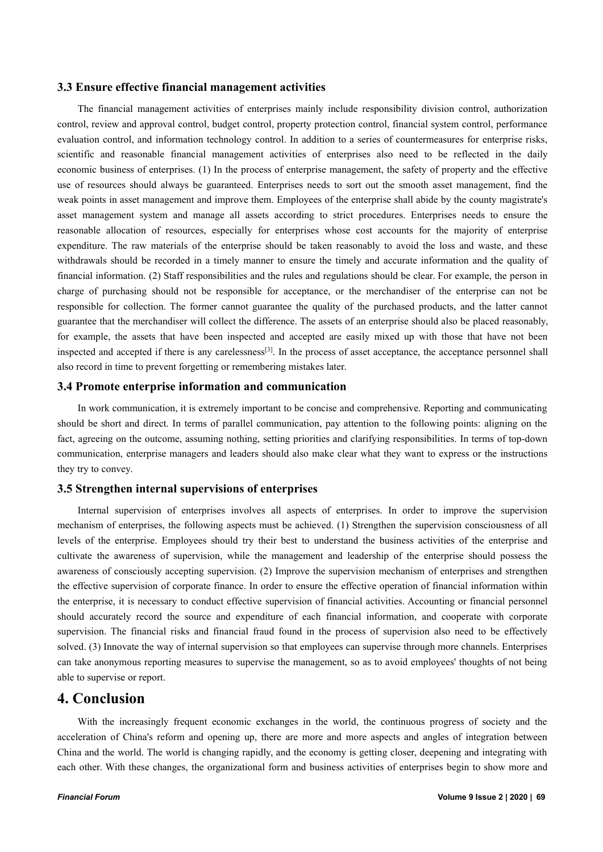#### **3.3 Ensure effective financial management activities**

The financial management activities of enterprises mainly include responsibility division control, authorization control, review and approval control, budget control, property protection control, financial system control, performance evaluation control, and information technology control. In addition to a series of countermeasures for enterprise risks, scientific and reasonable financial management activities of enterprises also need to be reflected in the daily economic business of enterprises. (1) In the process of enterprise management, the safety of property and the effective use of resources should always be guaranteed. Enterprises needs to sort out the smooth asset management, find the weak points in asset management and improve them. Employees of the enterprise shall abide by the county magistrate's asset management system and manage all assets according to strict procedures. Enterprises needs to ensure the reasonable allocation of resources, especially for enterprises whose cost accounts for the majority of enterprise expenditure. The raw materials of the enterprise should be taken reasonably to avoid the loss and waste, and these withdrawals should be recorded in a timely manner to ensure the timely and accurate information and the quality of financial information. (2) Staff responsibilities and the rules and regulations should be clear. For example, the person in charge of purchasing should not be responsible for acceptance, or the merchandiser of the enterprise can not be responsible for collection. The former cannot guarantee the quality of the purchased products, and the latter cannot guarantee that the merchandiser will collect the difference. The assets of an enterprise should also be placed reasonably, for example, the assets that have been inspected and accepted are easily mixed up with those that have not been inspected and accepted if there is any carelessness<sup>[3]</sup>. In the process of asset acceptance, the acceptance personnel shall also record in time to prevent forgetting or remembering mistakes later.

#### **3.4 Promote enterprise information and communication**

In work communication, it is extremely important to be concise and comprehensive. Reporting and communicating should be short and direct. In terms of parallel communication, pay attention to the following points: aligning on the fact, agreeing on the outcome, assuming nothing, setting priorities and clarifying responsibilities. In terms of top-down communication, enterprise managers and leaders should also make clear what they want to express or the instructions they try to convey.

#### **3.5 Strengthen internal supervisions ofenterprises**

Internal supervision of enterprises involves all aspects of enterprises. In order to improve the supervision mechanism of enterprises, the following aspects must be achieved. (1) Strengthen the supervision consciousness of all levels of the enterprise. Employees should try their best to understand the business activities of the enterprise and cultivate the awareness of supervision, while the management and leadership of the enterprise should possess the awareness of consciously accepting supervision. (2) Improve the supervision mechanism of enterprises and strengthen the effective supervision of corporate finance. In order to ensure the effective operation of financial information within the enterprise, it is necessary to conduct effective supervision of financial activities. Accounting or financial personnel should accurately record the source and expenditure of each financial information, and cooperate with corporate supervision. The financial risks and financial fraud found in the process of supervision also need to be effectively solved. (3) Innovate the way of internal supervision so that employees can supervise through more channels. Enterprises can take anonymous reporting measures to supervise the management, so as to avoid employees' thoughts of not being able to supervise or report.

### **4. Conclusion**

With the increasingly frequent economic exchanges in the world, the continuous progress of society and the acceleration of China's reform and opening up, there are more and more aspects and angles of integration between China and the world. The world is changing rapidly, and the economy is getting closer, deepening and integrating with each other. With these changes, the organizational form and business activities of enterprises begin to show more and